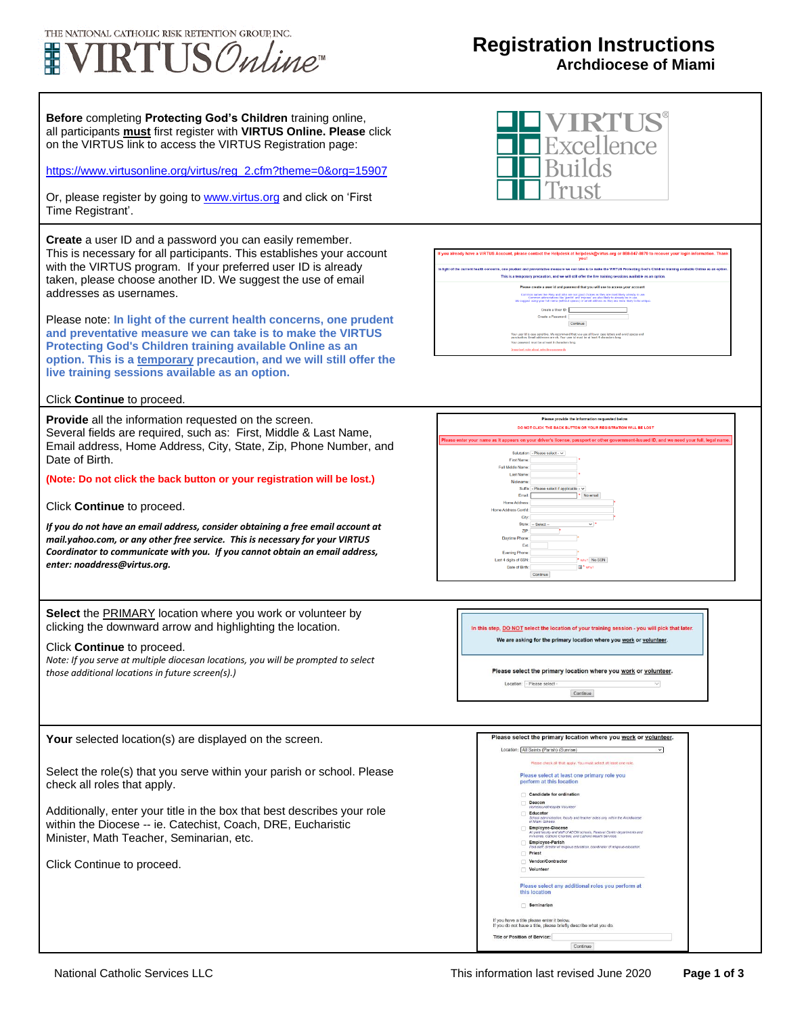

# **Registration Instructions**

**Archdiocese of Miami**

**Before** completing **Protecting God's Children** training online, all participants **must** first register with **VIRTUS Online. Please** click on the VIRTUS link to access the VIRTUS Registration page:

[https://www.virtusonline.org/virtus/reg\\_2.cfm?theme=0&org=15907](https://www.virtusonline.org/virtus/reg_2.cfm?theme=0&org=15907)

Or, please register by going to **www.virtus.org** and click on 'First Time Registrant'.

**Create** a user ID and a password you can easily remember. This is necessary for all participants. This establishes your account with the VIRTUS program. If your preferred user ID is already taken, please choose another ID. We suggest the use of email addresses as usernames.

Please note: **In light of the current health concerns, one prudent and preventative measure we can take is to make the VIRTUS Protecting God's Children training available Online as an option. This is a temporary precaution, and we will still offer the live training sessions available as an option.**

### Click **Continue** to proceed.

**Provide** all the information requested on the screen. Several fields are required, such as: First, Middle & Last Name, Email address, Home Address, City, State, Zip, Phone Number, and Date of Birth.

### **(Note: Do not click the back button or your registration will be lost.)**

Click **Continue** to proceed.

*If you do not have an email address, consider obtaining a free email account at mail.yahoo.com, or any other free service. This is necessary for your VIRTUS Coordinator to communicate with you. If you cannot obtain an email address, enter: noaddress@virtus.org.*

**Select** the **PRIMARY** location where you work or volunteer by clicking the downward arrow and highlighting the location.

#### Click **Continue** to proceed.

*Note: If you serve at multiple diocesan locations, you will be prompted to select those additional locations in future screen(s).)*



Select the role(s) that you serve within your parish or school. Please check all roles that apply.

Additionally, enter your title in the box that best describes your role within the Diocese -- ie. Catechist, Coach, DRE, Eucharistic Minister, Math Teacher, Seminarian, etc.

Click Continue to proceed.









#### Please select the primary location where you work or volunteer.

Location: - Please select - $\overline{\phantom{a}}$ Continue

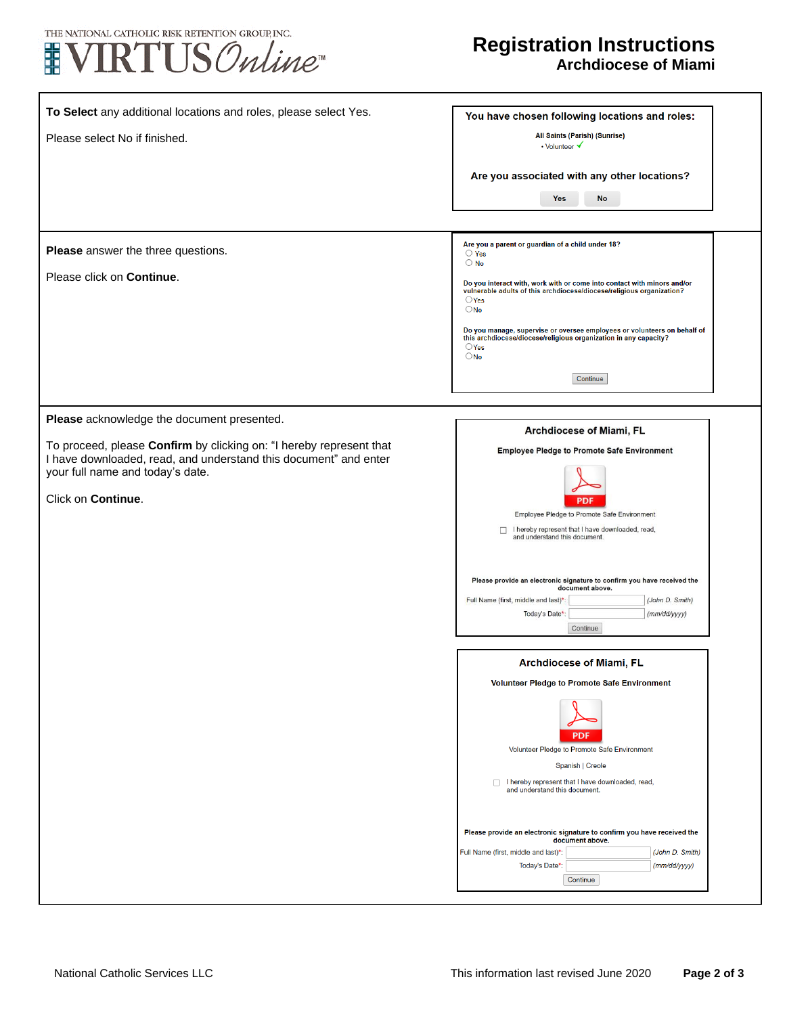



٦

| To Select any additional locations and roles, please select Yes.<br>Please select No if finished.                                                                                                                                               | You have chosen following locations and roles:<br>All Saints (Parish) (Sunrise)<br>• Volunteer V                                                                                                                                                                                                                                                                                                                                                                           |
|-------------------------------------------------------------------------------------------------------------------------------------------------------------------------------------------------------------------------------------------------|----------------------------------------------------------------------------------------------------------------------------------------------------------------------------------------------------------------------------------------------------------------------------------------------------------------------------------------------------------------------------------------------------------------------------------------------------------------------------|
|                                                                                                                                                                                                                                                 | Are you associated with any other locations?<br>No<br><b>Yes</b>                                                                                                                                                                                                                                                                                                                                                                                                           |
| Please answer the three questions.<br>Please click on Continue.                                                                                                                                                                                 | Are you a parent or guardian of a child under 18?<br>$\bigcirc$ Yes<br>$\bigcirc$ No<br>Do you interact with, work with or come into contact with minors and/or<br>vulnerable adults of this archdiocese/diocese/religious organization?<br>$\bigcirc$ Yes<br>$\bigcirc$ No<br>Do you manage, supervise or oversee employees or volunteers on behalf of<br>this archdiocese/diocese/religious organization in any capacity?<br>$\bigcirc$ Yes<br>$\bigcirc$ No<br>Continue |
| Please acknowledge the document presented.<br>To proceed, please Confirm by clicking on: "I hereby represent that<br>I have downloaded, read, and understand this document" and enter<br>your full name and today's date.<br>Click on Continue. | Archdiocese of Miami, FL<br><b>Employee Pledge to Promote Safe Environment</b><br>PDI<br>Employee Pledge to Promote Safe Environment<br>I hereby represent that I have downloaded, read,<br>$\Box$<br>and understand this document.<br>Please provide an electronic signature to confirm you have received the<br>document above.<br>Full Name (first, middle and last)*:<br>(John D. Smith)<br>Today's Date*:<br>(mm/dd/yyyy)<br>Continue                                 |
|                                                                                                                                                                                                                                                 | Archdiocese of Miami, FL<br>Volunteer Pledge to Promote Safe Environment<br><b>PDF</b><br>Volunteer Pledge to Promote Safe Environment<br>Spanish   Creole<br>I hereby represent that I have downloaded, read,<br>and understand this document.<br>Please provide an electronic signature to confirm you have received the<br>document above.<br>Full Name (first, middle and last)*:<br>(John D. Smith)<br>Today's Date*:<br>(mm/dd/yyyy)<br>Continue                     |